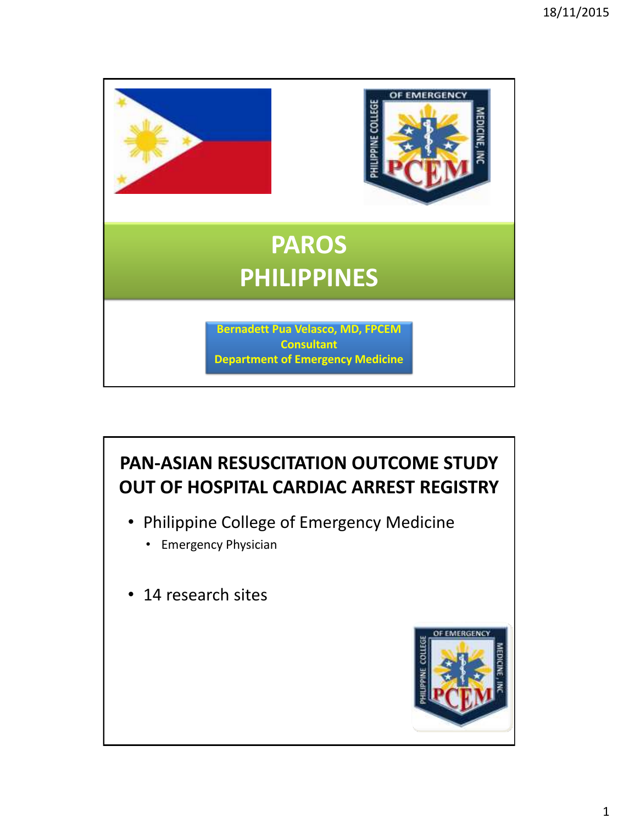

#### **PAN-ASIAN RESUSCITATION OUTCOME STUDY OUT OF HOSPITAL CARDIAC ARREST REGISTRY**

- Philippine College of Emergency Medicine
	- Emergency Physician
- 14 research sites

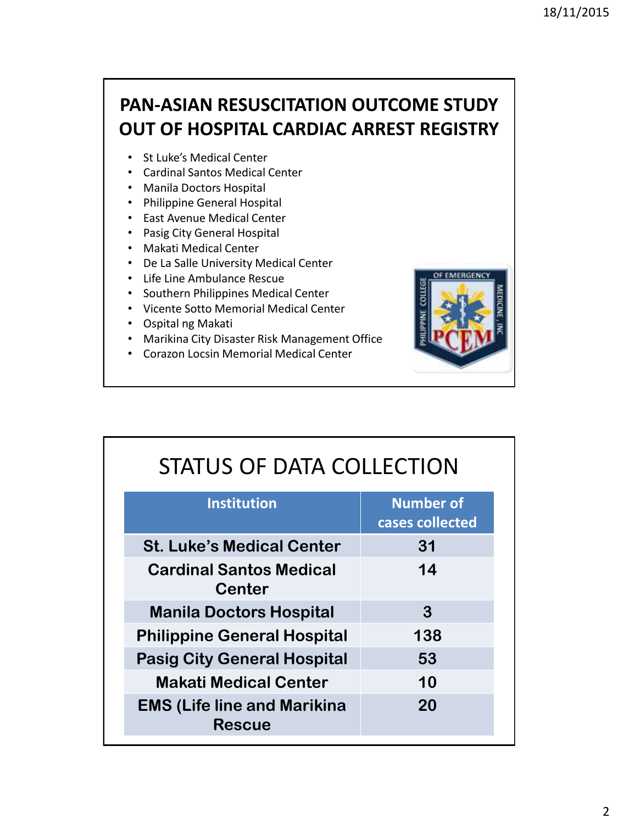#### **PAN-ASIAN RESUSCITATION OUTCOME STUDY OUT OF HOSPITAL CARDIAC ARREST REGISTRY**

- St Luke's Medical Center
- Cardinal Santos Medical Center
- Manila Doctors Hospital
- Philippine General Hospital
- East Avenue Medical Center
- Pasig City General Hospital
- Makati Medical Center
- De La Salle University Medical Center
- Life Line Ambulance Rescue
- Southern Philippines Medical Center
- Vicente Sotto Memorial Medical Center
- Ospital ng Makati
- Marikina City Disaster Risk Management Office
- Corazon Locsin Memorial Medical Center



| STATUS OF DATA COLLECTION |
|---------------------------|
|                           |

| <b>Institution</b>                                  | <b>Number of</b><br>cases collected |
|-----------------------------------------------------|-------------------------------------|
| <b>St. Luke's Medical Center</b>                    | 31                                  |
| <b>Cardinal Santos Medical</b><br><b>Center</b>     | 14                                  |
| <b>Manila Doctors Hospital</b>                      | 3                                   |
| <b>Philippine General Hospital</b>                  | 138                                 |
| <b>Pasig City General Hospital</b>                  | 53                                  |
| <b>Makati Medical Center</b>                        | 10                                  |
| <b>EMS (Life line and Marikina</b><br><b>Rescue</b> | 20                                  |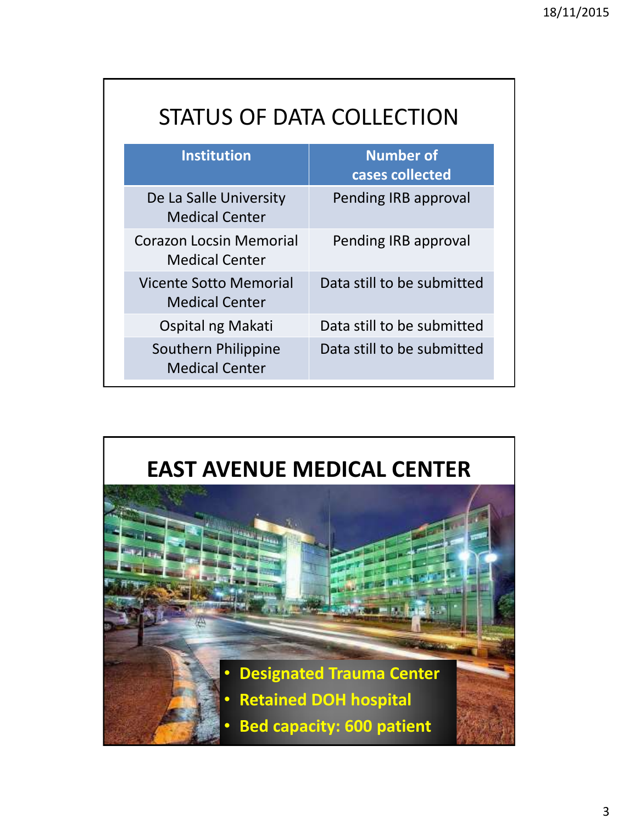| <b>Institution</b>                                      | <b>Number of</b><br>cases collected |
|---------------------------------------------------------|-------------------------------------|
| De La Salle University<br><b>Medical Center</b>         | Pending IRB approval                |
| <b>Corazon Locsin Memorial</b><br><b>Medical Center</b> | Pending IRB approval                |
| Vicente Sotto Memorial<br><b>Medical Center</b>         | Data still to be submitted          |
| Ospital ng Makati                                       | Data still to be submitted          |
| Southern Philippine<br><b>Medical Center</b>            | Data still to be submitted          |

### **EAST AVENUE MEDICAL CENTER**

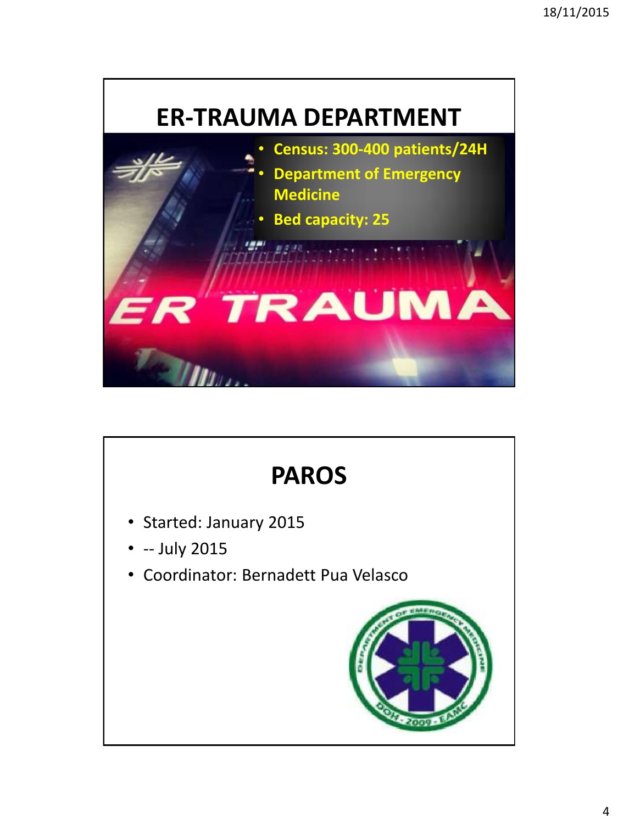

# **PAROS**

- Started: January 2015
- -- July 2015
- Coordinator: Bernadett Pua Velasco